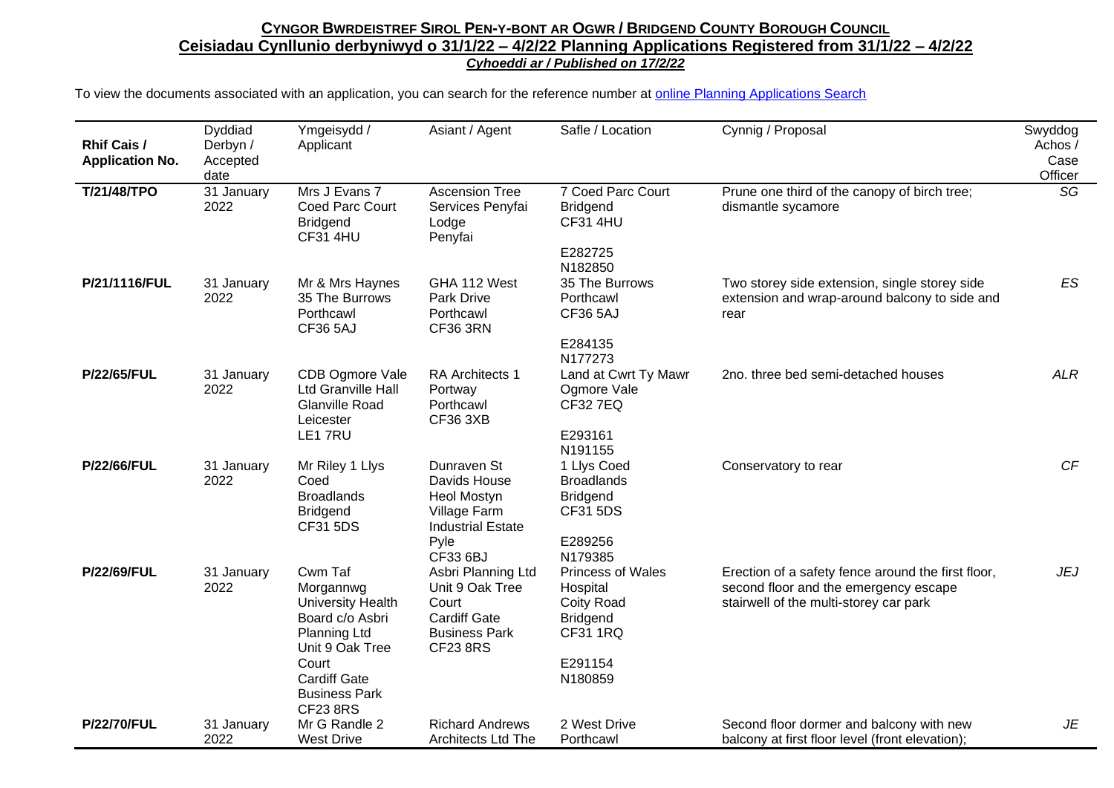| <b>Rhif Cais /</b><br><b>Application No.</b> | Dyddiad<br>Derbyn /<br>Accepted<br>date | Ymgeisydd /<br>Applicant                                                                                      | Asiant / Agent                                                                                                   | Safle / Location                                                                         | Cynnig / Proposal                                                                                                                     | Swyddog<br>Achos /<br>Case<br>Officer |
|----------------------------------------------|-----------------------------------------|---------------------------------------------------------------------------------------------------------------|------------------------------------------------------------------------------------------------------------------|------------------------------------------------------------------------------------------|---------------------------------------------------------------------------------------------------------------------------------------|---------------------------------------|
| T/21/48/TPO                                  | 31 January<br>2022                      | Mrs J Evans 7<br>Coed Parc Court<br><b>Bridgend</b><br><b>CF31 4HU</b>                                        | <b>Ascension Tree</b><br>Services Penyfai<br>Lodge<br>Penyfai                                                    | 7 Coed Parc Court<br><b>Bridgend</b><br><b>CF31 4HU</b>                                  | Prune one third of the canopy of birch tree;<br>dismantle sycamore                                                                    | SG                                    |
|                                              |                                         |                                                                                                               |                                                                                                                  | E282725<br>N182850                                                                       |                                                                                                                                       |                                       |
| P/21/1116/FUL                                | 31 January<br>2022                      | Mr & Mrs Haynes<br>35 The Burrows<br>Porthcawl<br><b>CF36 5AJ</b>                                             | GHA 112 West<br>Park Drive<br>Porthcawl<br><b>CF36 3RN</b>                                                       | 35 The Burrows<br>Porthcawl<br><b>CF36 5AJ</b>                                           | Two storey side extension, single storey side<br>extension and wrap-around balcony to side and<br>rear                                | <b>ES</b>                             |
|                                              |                                         |                                                                                                               |                                                                                                                  | E284135<br>N177273                                                                       |                                                                                                                                       |                                       |
| <b>P/22/65/FUL</b>                           | 31 January<br>2022                      | CDB Ogmore Vale<br><b>Ltd Granville Hall</b><br><b>Glanville Road</b><br>Leicester                            | RA Architects 1<br>Portway<br>Porthcawl<br><b>CF36 3XB</b>                                                       | Land at Cwrt Ty Mawr<br>Ogmore Vale<br><b>CF32 7EQ</b>                                   | 2no. three bed semi-detached houses                                                                                                   | <b>ALR</b>                            |
|                                              |                                         | LE1 7RU                                                                                                       |                                                                                                                  | E293161<br>N191155                                                                       |                                                                                                                                       |                                       |
| <b>P/22/66/FUL</b>                           | 31 January<br>2022                      | Mr Riley 1 Llys<br>Coed<br><b>Broadlands</b><br><b>Bridgend</b><br>CF31 5DS                                   | Dunraven St<br>Davids House<br>Heol Mostyn<br>Village Farm<br><b>Industrial Estate</b>                           | 1 Llys Coed<br><b>Broadlands</b><br><b>Bridgend</b><br><b>CF31 5DS</b>                   | Conservatory to rear                                                                                                                  | CF                                    |
|                                              |                                         |                                                                                                               | Pyle<br>CF33 6BJ                                                                                                 | E289256<br>N179385                                                                       |                                                                                                                                       |                                       |
| <b>P/22/69/FUL</b>                           | 31 January<br>2022                      | Cwm Taf<br>Morgannwg<br><b>University Health</b><br>Board c/o Asbri<br><b>Planning Ltd</b><br>Unit 9 Oak Tree | Asbri Planning Ltd<br>Unit 9 Oak Tree<br>Court<br><b>Cardiff Gate</b><br><b>Business Park</b><br><b>CF23 8RS</b> | <b>Princess of Wales</b><br>Hospital<br>Coity Road<br><b>Bridgend</b><br><b>CF31 1RQ</b> | Erection of a safety fence around the first floor,<br>second floor and the emergency escape<br>stairwell of the multi-storey car park | <b>JEJ</b>                            |
|                                              |                                         | Court<br><b>Cardiff Gate</b><br><b>Business Park</b><br><b>CF23 8RS</b>                                       |                                                                                                                  | E291154<br>N180859                                                                       |                                                                                                                                       |                                       |
| <b>P/22/70/FUL</b>                           | 31 January<br>2022                      | Mr G Randle 2<br><b>West Drive</b>                                                                            | <b>Richard Andrews</b><br><b>Architects Ltd The</b>                                                              | 2 West Drive<br>Porthcawl                                                                | Second floor dormer and balcony with new<br>balcony at first floor level (front elevation);                                           | JE                                    |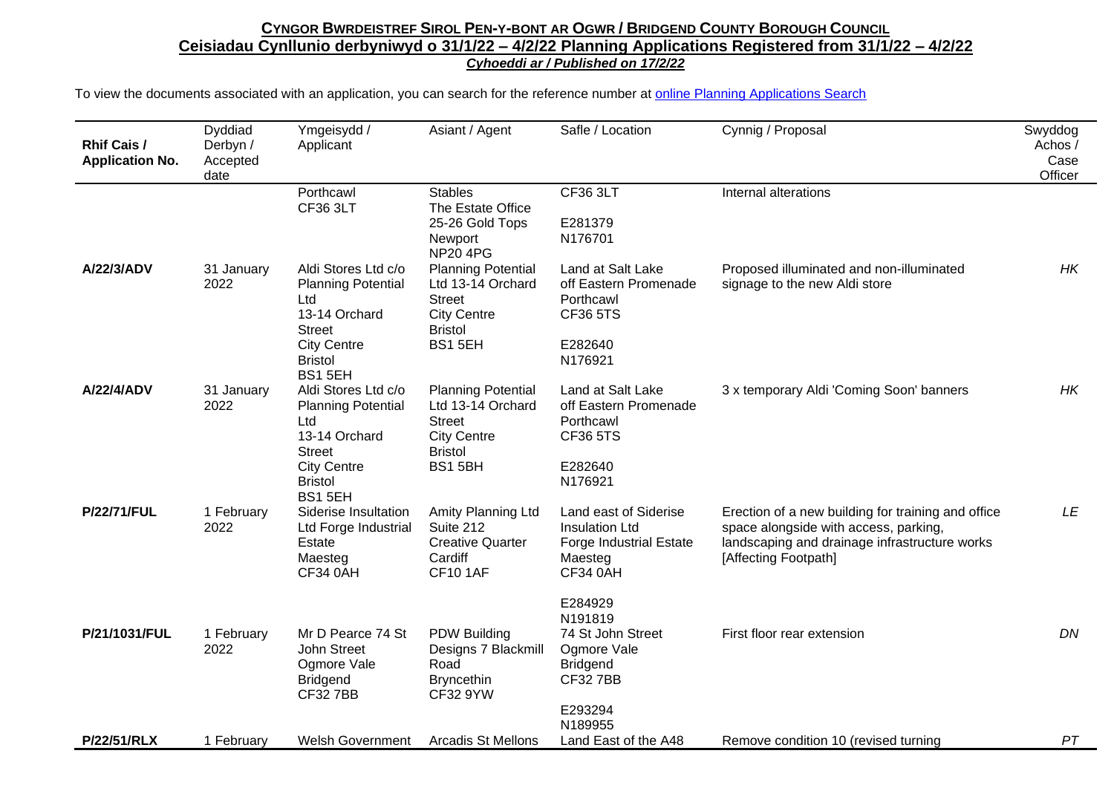| Rhif Cais /<br><b>Application No.</b> | Dyddiad<br>Derbyn /<br>Accepted<br>date | Ymgeisydd /<br>Applicant                                                                                                                            | Asiant / Agent                                                                                                     | Safle / Location                                                                                                          | Cynnig / Proposal                                                                                                                                                    | Swyddog<br>Achos/<br>Case<br>Officer |
|---------------------------------------|-----------------------------------------|-----------------------------------------------------------------------------------------------------------------------------------------------------|--------------------------------------------------------------------------------------------------------------------|---------------------------------------------------------------------------------------------------------------------------|----------------------------------------------------------------------------------------------------------------------------------------------------------------------|--------------------------------------|
|                                       |                                         | Porthcawl<br>CF36 3LT                                                                                                                               | <b>Stables</b><br>The Estate Office<br>25-26 Gold Tops<br>Newport<br><b>NP20 4PG</b>                               | CF36 3LT<br>E281379<br>N176701                                                                                            | Internal alterations                                                                                                                                                 |                                      |
| A/22/3/ADV                            | 31 January<br>2022                      | Aldi Stores Ltd c/o<br><b>Planning Potential</b><br>Ltd<br>13-14 Orchard<br><b>Street</b><br><b>City Centre</b><br><b>Bristol</b><br><b>BS1 5EH</b> | <b>Planning Potential</b><br>Ltd 13-14 Orchard<br><b>Street</b><br><b>City Centre</b><br><b>Bristol</b><br>BS1 5EH | Land at Salt Lake<br>off Eastern Promenade<br>Porthcawl<br><b>CF36 5TS</b><br>E282640<br>N176921                          | Proposed illuminated and non-illuminated<br>signage to the new Aldi store                                                                                            | HK                                   |
| A/22/4/ADV                            | 31 January<br>2022                      | Aldi Stores Ltd c/o<br><b>Planning Potential</b><br>Ltd<br>13-14 Orchard<br><b>Street</b><br><b>City Centre</b><br><b>Bristol</b><br>BS1 5EH        | <b>Planning Potential</b><br>Ltd 13-14 Orchard<br><b>Street</b><br><b>City Centre</b><br><b>Bristol</b><br>BS15BH  | Land at Salt Lake<br>off Eastern Promenade<br>Porthcawl<br><b>CF36 5TS</b><br>E282640<br>N176921                          | 3 x temporary Aldi 'Coming Soon' banners                                                                                                                             | HK                                   |
| <b>P/22/71/FUL</b>                    | 1 February<br>2022                      | Siderise Insultation<br>Ltd Forge Industrial<br>Estate<br>Maesteg<br>CF34 0AH                                                                       | Amity Planning Ltd<br>Suite 212<br><b>Creative Quarter</b><br>Cardiff<br><b>CF10 1AF</b>                           | Land east of Siderise<br><b>Insulation Ltd</b><br><b>Forge Industrial Estate</b><br>Maesteg<br><b>CF34 0AH</b><br>E284929 | Erection of a new building for training and office<br>space alongside with access, parking,<br>landscaping and drainage infrastructure works<br>[Affecting Footpath] | LE                                   |
| P/21/1031/FUL                         | 1 February<br>2022                      | Mr D Pearce 74 St<br>John Street<br>Ogmore Vale<br><b>Bridgend</b><br><b>CF327BB</b>                                                                | <b>PDW Building</b><br>Designs 7 Blackmill<br>Road<br><b>Bryncethin</b><br><b>CF32 9YW</b>                         | N191819<br>74 St John Street<br>Ogmore Vale<br><b>Bridgend</b><br><b>CF327BB</b><br>E293294<br>N189955                    | First floor rear extension                                                                                                                                           | DN                                   |
| <b>P/22/51/RLX</b>                    | 1 February                              | <b>Welsh Government</b>                                                                                                                             | <b>Arcadis St Mellons</b>                                                                                          | Land East of the A48                                                                                                      | Remove condition 10 (revised turning                                                                                                                                 | PT                                   |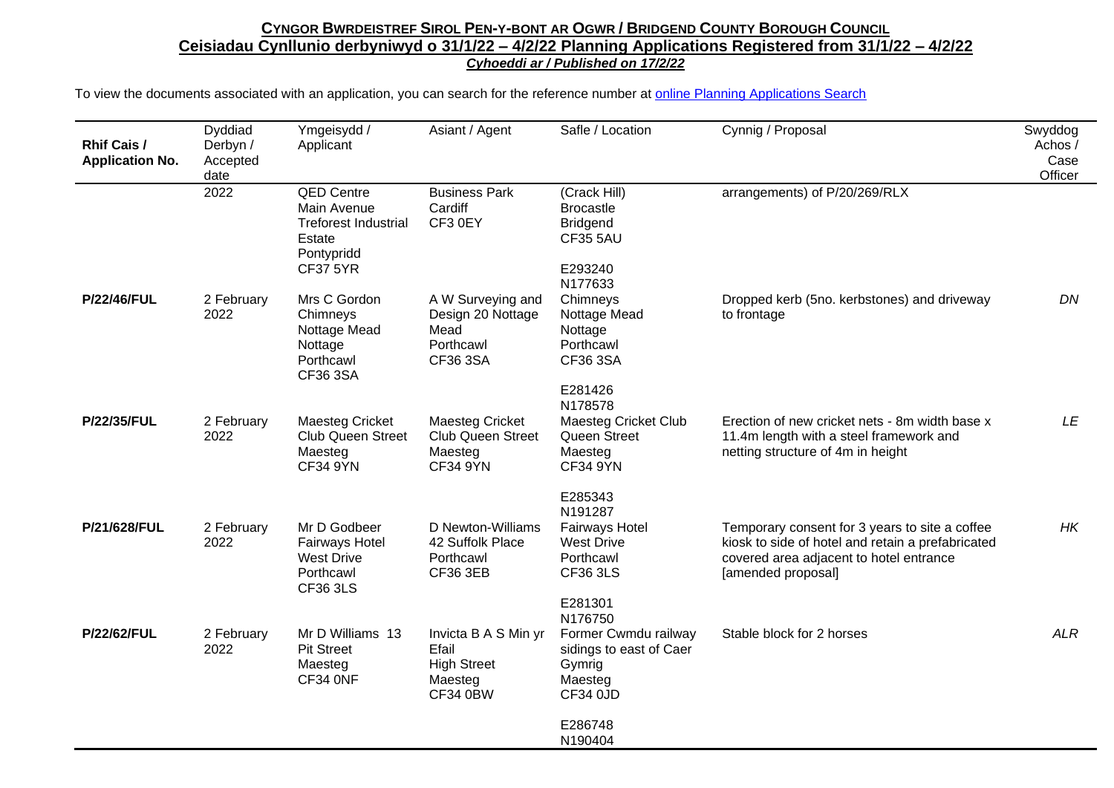| <b>Rhif Cais /</b><br><b>Application No.</b> | Dyddiad<br>Derbyn /<br>Accepted<br>date | Ymgeisydd /<br>Applicant                                                                                   | Asiant / Agent                                                                    | Safle / Location                                                                                            | Cynnig / Proposal                                                                                                                                                    | Swyddog<br>Achos /<br>Case<br>Officer |
|----------------------------------------------|-----------------------------------------|------------------------------------------------------------------------------------------------------------|-----------------------------------------------------------------------------------|-------------------------------------------------------------------------------------------------------------|----------------------------------------------------------------------------------------------------------------------------------------------------------------------|---------------------------------------|
|                                              | 2022                                    | <b>QED Centre</b><br>Main Avenue<br><b>Treforest Industrial</b><br>Estate<br>Pontypridd<br><b>CF37 5YR</b> | <b>Business Park</b><br>Cardiff<br>CF3 0EY                                        | (Crack Hill)<br><b>Brocastle</b><br><b>Bridgend</b><br><b>CF35 5AU</b><br>E293240<br>N177633                | arrangements) of P/20/269/RLX                                                                                                                                        |                                       |
| <b>P/22/46/FUL</b>                           | 2 February<br>2022                      | Mrs C Gordon<br>Chimneys<br>Nottage Mead<br>Nottage<br>Porthcawl<br>CF36 3SA                               | A W Surveying and<br>Design 20 Nottage<br>Mead<br>Porthcawl<br>CF36 3SA           | Chimneys<br>Nottage Mead<br>Nottage<br>Porthcawl<br>CF36 3SA<br>E281426<br>N178578                          | Dropped kerb (5no. kerbstones) and driveway<br>to frontage                                                                                                           | DN                                    |
| <b>P/22/35/FUL</b>                           | 2 February<br>2022                      | <b>Maesteg Cricket</b><br>Club Queen Street<br>Maesteg<br><b>CF34 9YN</b>                                  | <b>Maesteg Cricket</b><br><b>Club Queen Street</b><br>Maesteg<br><b>CF34 9YN</b>  | <b>Maesteg Cricket Club</b><br>Queen Street<br>Maesteg<br><b>CF34 9YN</b><br>E285343                        | Erection of new cricket nets - 8m width base x<br>11.4m length with a steel framework and<br>netting structure of 4m in height                                       | LE                                    |
| P/21/628/FUL                                 | 2 February<br>2022                      | Mr D Godbeer<br><b>Fairways Hotel</b><br><b>West Drive</b><br>Porthcawl<br>CF36 3LS                        | D Newton-Williams<br>42 Suffolk Place<br>Porthcawl<br>CF36 3EB                    | N191287<br><b>Fairways Hotel</b><br><b>West Drive</b><br>Porthcawl<br><b>CF36 3LS</b><br>E281301<br>N176750 | Temporary consent for 3 years to site a coffee<br>kiosk to side of hotel and retain a prefabricated<br>covered area adjacent to hotel entrance<br>[amended proposal] | HK                                    |
| <b>P/22/62/FUL</b>                           | 2 February<br>2022                      | Mr D Williams 13<br><b>Pit Street</b><br>Maesteg<br>CF34 ONF                                               | Invicta B A S Min yr<br>Efail<br><b>High Street</b><br>Maesteg<br><b>CF34 0BW</b> | Former Cwmdu railway<br>sidings to east of Caer<br>Gymrig<br>Maesteg<br>CF34 0JD                            | Stable block for 2 horses                                                                                                                                            | <b>ALR</b>                            |
|                                              |                                         |                                                                                                            |                                                                                   | E286748<br>N190404                                                                                          |                                                                                                                                                                      |                                       |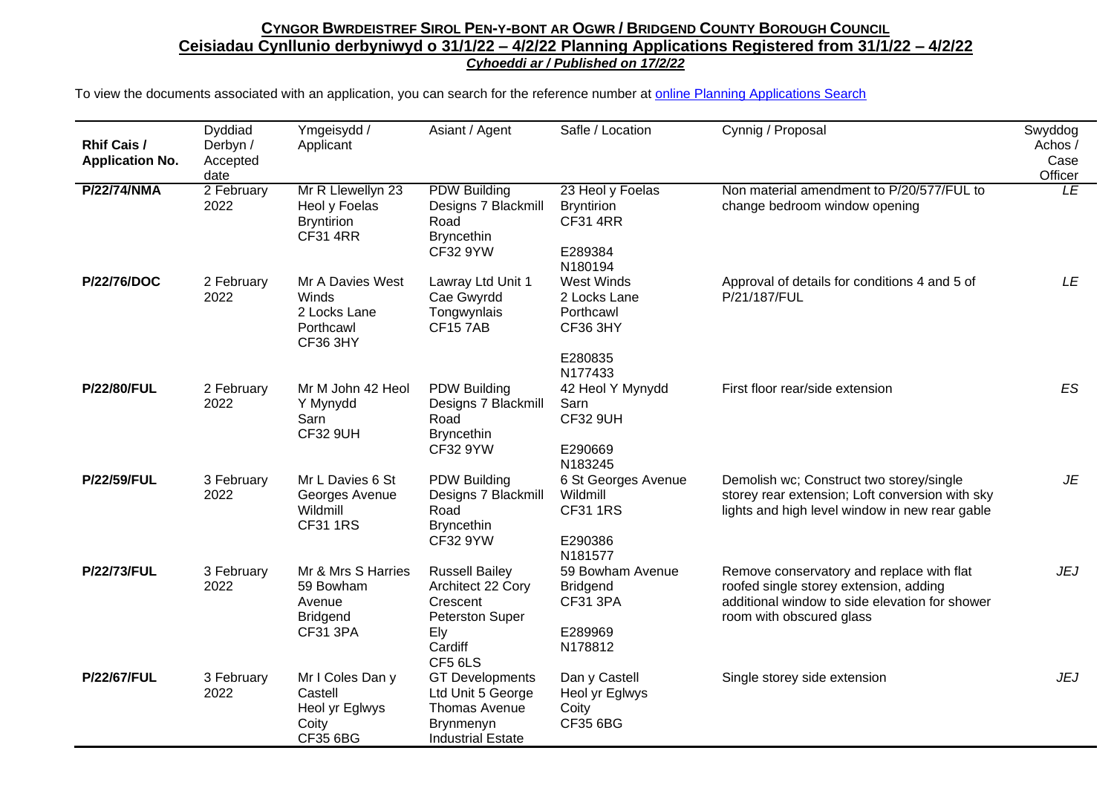| <b>Rhif Cais /</b><br><b>Application No.</b> | Dyddiad<br>Derbyn /<br>Accepted<br>date | Ymgeisydd /<br>Applicant                                                        | Asiant / Agent                                                                                                | Safle / Location                                                                 | Cynnig / Proposal                                                                                                                                                 | Swyddog<br>Achos /<br>Case<br>Officer |
|----------------------------------------------|-----------------------------------------|---------------------------------------------------------------------------------|---------------------------------------------------------------------------------------------------------------|----------------------------------------------------------------------------------|-------------------------------------------------------------------------------------------------------------------------------------------------------------------|---------------------------------------|
| <b>P/22/74/NMA</b>                           | 2 February<br>2022                      | Mr R Llewellyn 23<br>Heol y Foelas<br><b>Bryntirion</b><br><b>CF31 4RR</b>      | <b>PDW Building</b><br>Designs 7 Blackmill<br>Road<br><b>Bryncethin</b><br><b>CF32 9YW</b>                    | 23 Heol y Foelas<br><b>Bryntirion</b><br><b>CF31 4RR</b><br>E289384<br>N180194   | Non material amendment to P/20/577/FUL to<br>change bedroom window opening                                                                                        | LE                                    |
| P/22/76/DOC                                  | 2 February<br>2022                      | Mr A Davies West<br>Winds<br>2 Locks Lane<br>Porthcawl<br><b>CF36 3HY</b>       | Lawray Ltd Unit 1<br>Cae Gwyrdd<br>Tongwynlais<br><b>CF157AB</b>                                              | West Winds<br>2 Locks Lane<br>Porthcawl<br><b>CF36 3HY</b><br>E280835<br>N177433 | Approval of details for conditions 4 and 5 of<br>P/21/187/FUL                                                                                                     | LE                                    |
| <b>P/22/80/FUL</b>                           | 2 February<br>2022                      | Mr M John 42 Heol<br>Y Mynydd<br>Sarn<br><b>CF32 9UH</b>                        | <b>PDW Building</b><br>Designs 7 Blackmill<br>Road<br><b>Bryncethin</b><br><b>CF32 9YW</b>                    | 42 Heol Y Mynydd<br>Sarn<br><b>CF32 9UH</b><br>E290669<br>N183245                | First floor rear/side extension                                                                                                                                   | ES                                    |
| <b>P/22/59/FUL</b>                           | 3 February<br>2022                      | Mr L Davies 6 St<br>Georges Avenue<br>Wildmill<br><b>CF31 1RS</b>               | <b>PDW Building</b><br>Designs 7 Blackmill<br>Road<br><b>Bryncethin</b><br><b>CF32 9YW</b>                    | 6 St Georges Avenue<br>Wildmill<br><b>CF31 1RS</b><br>E290386<br>N181577         | Demolish wc; Construct two storey/single<br>storey rear extension; Loft conversion with sky<br>lights and high level window in new rear gable                     | JE                                    |
| <b>P/22/73/FUL</b>                           | 3 February<br>2022                      | Mr & Mrs S Harries<br>59 Bowham<br>Avenue<br><b>Bridgend</b><br><b>CF31 3PA</b> | <b>Russell Bailey</b><br>Architect 22 Cory<br>Crescent<br><b>Peterston Super</b><br>Ely<br>Cardiff<br>CF5 6LS | 59 Bowham Avenue<br><b>Bridgend</b><br><b>CF31 3PA</b><br>E289969<br>N178812     | Remove conservatory and replace with flat<br>roofed single storey extension, adding<br>additional window to side elevation for shower<br>room with obscured glass | <b>JEJ</b>                            |
| <b>P/22/67/FUL</b>                           | 3 February<br>2022                      | Mr I Coles Dan y<br>Castell<br>Heol yr Eglwys<br>Coity<br>CF35 6BG              | <b>GT Developments</b><br>Ltd Unit 5 George<br>Thomas Avenue<br>Brynmenyn<br><b>Industrial Estate</b>         | Dan y Castell<br>Heol yr Eglwys<br>Coity<br>CF35 6BG                             | Single storey side extension                                                                                                                                      | <b>JEJ</b>                            |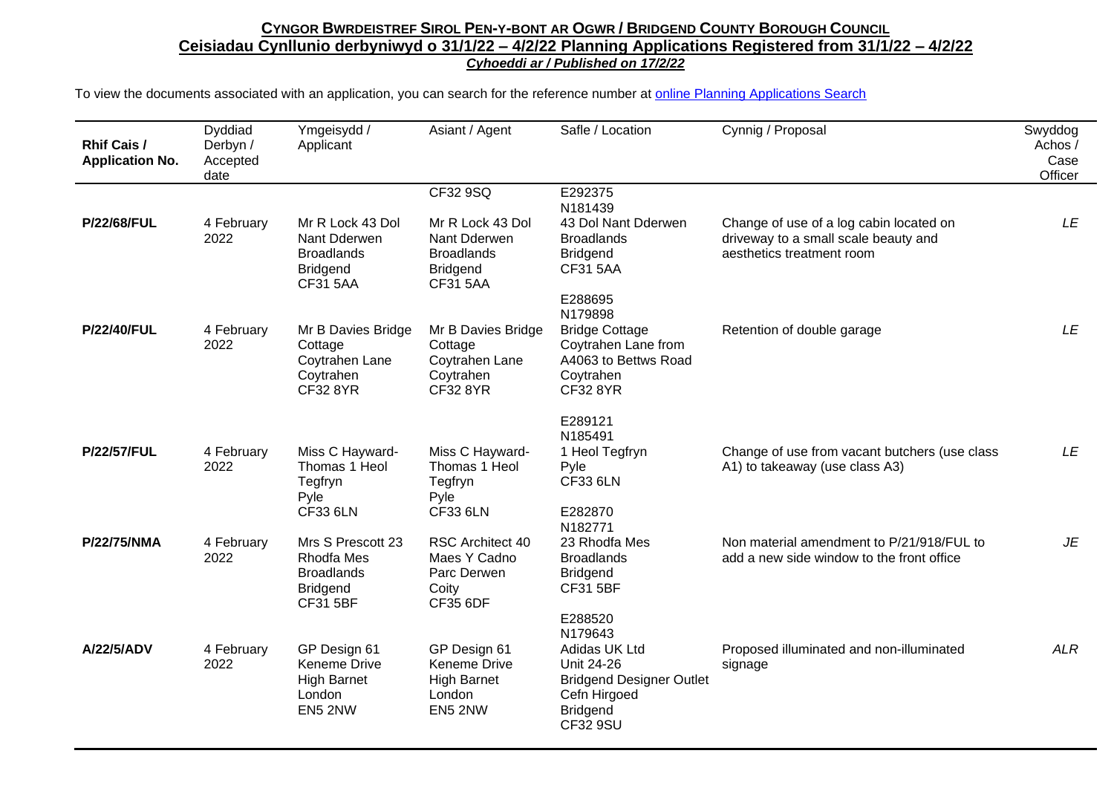| <b>Rhif Cais /</b><br><b>Application No.</b> | Dyddiad<br>Derbyn /<br>Accepted<br>date | Ymgeisydd /<br>Applicant                                                                    | Asiant / Agent                                                                                          | Safle / Location                                                                                                                | Cynnig / Proposal                                                                                            | Swyddog<br>Achos /<br>Case<br>Officer |
|----------------------------------------------|-----------------------------------------|---------------------------------------------------------------------------------------------|---------------------------------------------------------------------------------------------------------|---------------------------------------------------------------------------------------------------------------------------------|--------------------------------------------------------------------------------------------------------------|---------------------------------------|
| <b>P/22/68/FUL</b>                           | 4 February<br>2022                      | Mr R Lock 43 Dol<br>Nant Dderwen<br><b>Broadlands</b><br><b>Bridgend</b><br><b>CF31 5AA</b> | CF32 9SQ<br>Mr R Lock 43 Dol<br>Nant Dderwen<br><b>Broadlands</b><br><b>Bridgend</b><br><b>CF31 5AA</b> | E292375<br>N181439<br>43 Dol Nant Dderwen<br><b>Broadlands</b><br><b>Bridgend</b><br><b>CF31 5AA</b>                            | Change of use of a log cabin located on<br>driveway to a small scale beauty and<br>aesthetics treatment room | LE                                    |
| <b>P/22/40/FUL</b>                           | 4 February<br>2022                      | Mr B Davies Bridge<br>Cottage<br>Coytrahen Lane<br>Coytrahen<br><b>CF32 8YR</b>             | Mr B Davies Bridge<br>Cottage<br>Coytrahen Lane<br>Coytrahen<br><b>CF32 8YR</b>                         | E288695<br>N179898<br><b>Bridge Cottage</b><br>Coytrahen Lane from<br>A4063 to Bettws Road<br>Coytrahen<br><b>CF32 8YR</b>      | Retention of double garage                                                                                   | LE                                    |
| <b>P/22/57/FUL</b>                           | 4 February<br>2022                      | Miss C Hayward-<br>Thomas 1 Heol<br>Tegfryn<br>Pyle<br><b>CF33 6LN</b>                      | Miss C Hayward-<br>Thomas 1 Heol<br>Tegfryn<br>Pyle<br><b>CF33 6LN</b>                                  | E289121<br>N185491<br>1 Heol Tegfryn<br>Pyle<br><b>CF33 6LN</b><br>E282870                                                      | Change of use from vacant butchers (use class<br>A1) to takeaway (use class A3)                              | LE                                    |
| P/22/75/NMA                                  | 4 February<br>2022                      | Mrs S Prescott 23<br>Rhodfa Mes<br><b>Broadlands</b><br><b>Bridgend</b><br><b>CF31 5BF</b>  | RSC Architect 40<br>Maes Y Cadno<br>Parc Derwen<br>Coity<br><b>CF35 6DF</b>                             | N182771<br>23 Rhodfa Mes<br><b>Broadlands</b><br><b>Bridgend</b><br><b>CF31 5BF</b><br>E288520                                  | Non material amendment to P/21/918/FUL to<br>add a new side window to the front office                       | JE                                    |
| A/22/5/ADV                                   | 4 February<br>2022                      | GP Design 61<br>Keneme Drive<br><b>High Barnet</b><br>London<br>EN5 2NW                     | GP Design 61<br>Keneme Drive<br><b>High Barnet</b><br>London<br>EN5 2NW                                 | N179643<br>Adidas UK Ltd<br>Unit 24-26<br><b>Bridgend Designer Outlet</b><br>Cefn Hirgoed<br><b>Bridgend</b><br><b>CF32 9SU</b> | Proposed illuminated and non-illuminated<br>signage                                                          | <b>ALR</b>                            |